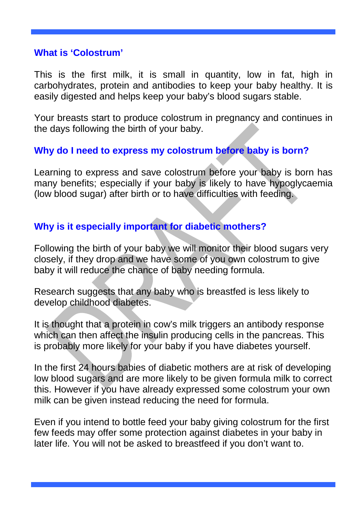#### **What is 'Colostrum'**

This is the first milk, it is small in quantity, low in fat, high in carbohydrates, protein and antibodies to keep your baby healthy. It is easily digested and helps keep your baby's blood sugars stable.

Your breasts start to produce colostrum in pregnancy and continues in the days following the birth of your baby.

## **Why do I need to express my colostrum before baby is born?**

Learning to express and save colostrum before your baby is born has many benefits; especially if your baby is likely to have hypoglycaemia (low blood sugar) after birth or to have difficulties with feeding.

# **Why is it especially important for diabetic mothers?**

Following the birth of your baby we will monitor their blood sugars very closely, if they drop and we have some of you own colostrum to give baby it will reduce the chance of baby needing formula.

Research suggests that any baby who is breastfed is less likely to develop childhood diabetes.

It is thought that a protein in cow's milk triggers an antibody response which can then affect the insulin producing cells in the pancreas. This is probably more likely for your baby if you have diabetes yourself.

In the first 24 hours babies of diabetic mothers are at risk of developing low blood sugars and are more likely to be given formula milk to correct this. However if you have already expressed some colostrum your own milk can be given instead reducing the need for formula.

Even if you intend to bottle feed your baby giving colostrum for the first few feeds may offer some protection against diabetes in your baby in later life. You will not be asked to breastfeed if you don't want to.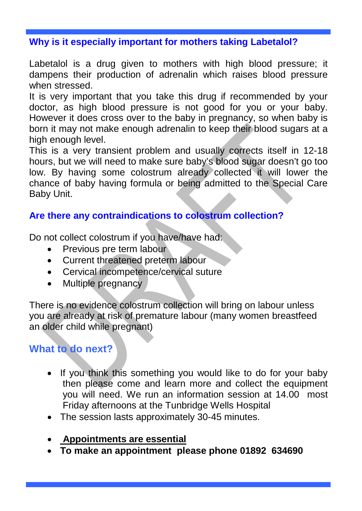## **Why is it especially important for mothers taking Labetalol?**

Labetalol is a drug given to mothers with high blood pressure; it dampens their production of adrenalin which raises blood pressure when stressed.

It is very important that you take this drug if recommended by your doctor, as high blood pressure is not good for you or your baby. However it does cross over to the baby in pregnancy, so when baby is born it may not make enough adrenalin to keep their blood sugars at a high enough level.

This is a very transient problem and usually corrects itself in 12-18 hours, but we will need to make sure baby's blood sugar doesn't go too low. By having some colostrum already collected it will lower the chance of baby having formula or being admitted to the Special Care Baby Unit.

## **Are there any contraindications to colostrum collection?**

Do not collect colostrum if you have/have had:

- Previous pre term labour
- Current threatened preterm labour
- Cervical incompetence/cervical suture
- Multiple pregnancy

There is no evidence colostrum collection will bring on labour unless you are already at risk of premature labour (many women breastfeed an older child while pregnant)

**What to do next?**

- If you think this something you would like to do for your baby then please come and learn more and collect the equipment you will need. We run an information session at 14.00 most Friday afternoons at the Tunbridge Wells Hospital
- The session lasts approximately 30-45 minutes.
- **Appointments are essential**
- **To make an appointment please phone 01892 634690**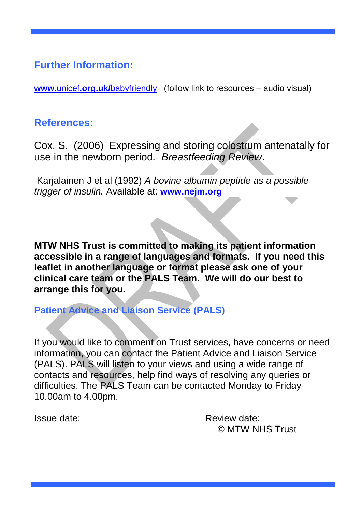# **Further Information:**

**www.**unicef**.org.uk/**[babyfriendly](http://www.unicef.org.uk/babyfriendly) (follow link to resources – audio visual)

# **References:**

Cox, S. (2006) Expressing and storing colostrum antenatally for use in the newborn period*. Breastfeeding Review*.

Karjalainen J et al (1992) *[A bovine albumin peptide as a possible](https://www.google.co.uk/url?sa=t&rct=j&q=&esrc=s&source=web&cd=1&ved=0CCYQFjAA&url=http%3A%2F%2Fwww.ncbi.nlm.nih.gov%2Fpubmed%2F1377788&ei=isovVcSnJsb1aoLFgOgL&usg=AFQjCNFJqLGIklUx0Urc6mBoK41E7zyNrA&bvm=bv.91071109,d.d2s)  [trigger of insulin.](https://www.google.co.uk/url?sa=t&rct=j&q=&esrc=s&source=web&cd=1&ved=0CCYQFjAA&url=http%3A%2F%2Fwww.ncbi.nlm.nih.gov%2Fpubmed%2F1377788&ei=isovVcSnJsb1aoLFgOgL&usg=AFQjCNFJqLGIklUx0Urc6mBoK41E7zyNrA&bvm=bv.91071109,d.d2s)* Available at: **www.nejm.org**

**MTW NHS Trust is committed to making its patient information accessible in a range of languages and formats. If you need this leaflet in another language or format please ask one of your clinical care team or the PALS Team. We will do our best to arrange this for you.**

# **Patient Advice and Liaison Service (PALS)**

If you would like to comment on Trust services, have concerns or need information, you can contact the Patient Advice and Liaison Service (PALS). PALS will listen to your views and using a wide range of contacts and resources, help find ways of resolving any queries or difficulties. The PALS Team can be contacted Monday to Friday 10.00am to 4.00pm.

Issue date: Review date: © MTW NHS Trust